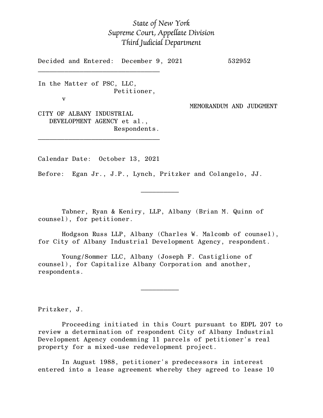## *State of New York Supreme Court, Appellate Division Third Judicial Department*

Decided and Entered: December 9, 2021 532952

In the Matter of PSC, LLC, Petitioner,

 $\mathcal{L}_\text{max}$ 

v

MEMORANDUM AND JUDGMENT

CITY OF ALBANY INDUSTRIAL DEVELOPMENT AGENCY et al., Respondents.

\_\_\_\_\_\_\_\_\_\_\_\_\_\_\_\_\_\_\_\_\_\_\_\_\_\_\_\_\_\_\_\_

Calendar Date: October 13, 2021

 $\mathcal{L}_\text{max}$  and  $\mathcal{L}_\text{max}$  are the set of  $\mathcal{L}_\text{max}$  . The set of  $\mathcal{L}_\text{max}$ 

 $\mathcal{L}_\text{max}$  and  $\mathcal{L}_\text{max}$  are the set of  $\mathcal{L}_\text{max}$  . The set of  $\mathcal{L}_\text{max}$ 

Before: Egan Jr., J.P., Lynch, Pritzker and Colangelo, JJ.

Tabner, Ryan & Keniry, LLP, Albany (Brian M. Quinn of counsel), for petitioner.

Hodgson Russ LLP, Albany (Charles W. Malcomb of counsel), for City of Albany Industrial Development Agency, respondent.

Young/Sommer LLC, Albany (Joseph F. Castiglione of counsel), for Capitalize Albany Corporation and another, respondents.

Pritzker, J.

Proceeding initiated in this Court pursuant to EDPL 207 to review a determination of respondent City of Albany Industrial Development Agency condemning 11 parcels of petitioner's real property for a mixed-use redevelopment project.

In August 1988, petitioner's predecessors in interest entered into a lease agreement whereby they agreed to lease 10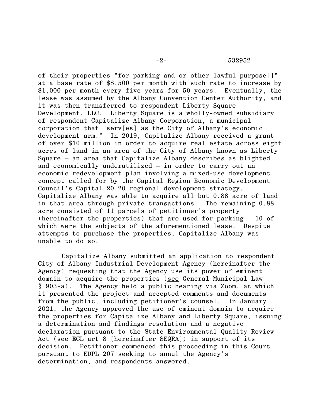of their properties "for parking and or other lawful purpose[]" at a base rate of \$8,500 per month with such rate to increase by \$1,000 per month every five years for 50 years. Eventually, the lease was assumed by the Albany Convention Center Authority, and it was then transferred to respondent Liberty Square Development, LLC. Liberty Square is a wholly-owned subsidiary of respondent Capitalize Albany Corporation, a municipal corporation that "serv[es] as the City of Albany's economic development arm." In 2019, Capitalize Albany received a grant of over \$10 million in order to acquire real estate across eight acres of land in an area of the City of Albany known as Liberty Square – an area that Capitalize Albany describes as blighted and economically underutilized – in order to carry out an economic redevelopment plan involving a mixed-use development concept called for by the Capital Region Economic Development Council's Capital 20.20 regional development strategy. Capitalize Albany was able to acquire all but 0.88 acre of land in that area through private transactions. The remaining 0.88 acre consisted of 11 parcels of petitioner's property (hereinafter the properties) that are used for parking – 10 of which were the subjects of the aforementioned lease. Despite attempts to purchase the properties, Capitalize Albany was unable to do so.

Capitalize Albany submitted an application to respondent City of Albany Industrial Development Agency (hereinafter the Agency) requesting that the Agency use its power of eminent domain to acquire the properties (see General Municipal Law § 903-a). The Agency held a public hearing via Zoom, at which it presented the project and accepted comments and documents from the public, including petitioner's counsel. In January 2021, the Agency approved the use of eminent domain to acquire the properties for Capitalize Albany and Liberty Square, issuing a determination and findings resolution and a negative declaration pursuant to the State Environmental Quality Review Act (see ECL art 8 [hereinafter SEQRA]) in support of its decision. Petitioner commenced this proceeding in this Court pursuant to EDPL 207 seeking to annul the Agency's determination, and respondents answered.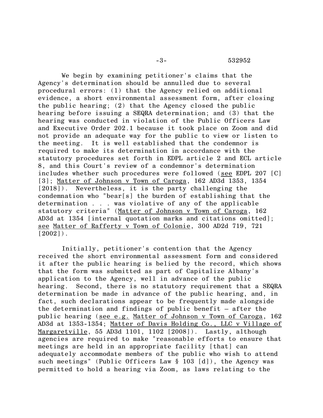We begin by examining petitioner's claims that the Agency's determination should be annulled due to several procedural errors: (1) that the Agency relied on additional evidence, a short environmental assessment form, after closing the public hearing; (2) that the Agency closed the public hearing before issuing a SEQRA determination; and (3) that the hearing was conducted in violation of the Public Officers Law and Executive Order 202.1 because it took place on Zoom and did not provide an adequate way for the public to view or listen to the meeting. It is well established that the condemnor is required to make its determination in accordance with the statutory procedures set forth in EDPL article 2 and ECL article 8, and this Court's review of a condemnor's determination includes whether such procedures were followed (see EDPL 207 [C] [3]; Matter of Johnson v Town of Caroga, 162 AD3d 1353, 1354 [2018]). Nevertheless, it is the party challenging the condemnation who "bear[s] the burden of establishing that the determination . . . was violative of any of the applicable statutory criteria" (Matter of Johnson v Town of Caroga, 162 AD3d at 1354 [internal quotation marks and citations omitted]; see Matter of Rafferty v Town of Colonie, 300 AD2d 719, 721  $[2002]$ .

Initially, petitioner's contention that the Agency received the short environmental assessment form and considered it after the public hearing is belied by the record, which shows that the form was submitted as part of Capitalize Albany's application to the Agency, well in advance of the public hearing. Second, there is no statutory requirement that a SEQRA determination be made in advance of the public hearing, and, in fact, such declarations appear to be frequently made alongside the determination and findings of public benefit – after the public hearing (see e.g. Matter of Johnson v Town of Caroga, 162 AD3d at 1353-1354; Matter of Davis Holding Co., LLC v Village of Margaretville, 55 AD3d 1101, 1102 [2008]). Lastly, although agencies are required to make "reasonable efforts to ensure that meetings are held in an appropriate facility [that] can adequately accommodate members of the public who wish to attend such meetings" (Public Officers Law § 103 [d]), the Agency was permitted to hold a hearing via Zoom, as laws relating to the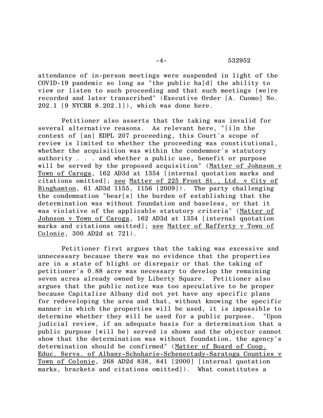attendance of in-person meetings were suspended in light of the COVID-19 pandemic so long as "the public ha[d] the ability to view or listen to such proceeding and that such meetings [we]re recorded and later transcribed" (Executive Order [A. Cuomo] No. 202.1 [9 NYCRR 8.202.1]), which was done here.

Petitioner also asserts that the taking was invalid for several alternative reasons. As relevant here, "[i]n the context of [an] EDPL 207 proceeding, this Court's scope of review is limited to whether the proceeding was constitutional, whether the acquisition was within the condemnor's statutory authority . . . and whether a public use, benefit or purpose will be served by the proposed acquisition" (Matter of Johnson v Town of Caroga, 162 AD3d at 1354 [internal quotation marks and citations omitted]; see Matter of 225 Front St., Ltd. v City of Binghamton, 61 AD3d 1155, 1156 [2009]). The party challenging the condemnation "bear[s] the burden of establishing that the determination was without foundation and baseless, or that it was violative of the applicable statutory criteria" (Matter of Johnson v Town of Caroga, 162 AD3d at 1354 [internal quotation marks and citations omitted]; see Matter of Rafferty v Town of Colonie, 300 AD2d at 721).

Petitioner first argues that the taking was excessive and unnecessary because there was no evidence that the properties are in a state of blight or disrepair or that the taking of petitioner's 0.88 acre was necessary to develop the remaining seven acres already owned by Liberty Square. Petitioner also argues that the public notice was too speculative to be proper because Capitalize Albany did not yet have any specific plans for redeveloping the area and that, without knowing the specific manner in which the properties will be used, it is impossible to determine whether they will be used for a public purpose. "Upon judicial review, if an adequate basis for a determination that a public purpose [will be] served is shown and the objector cannot show that the determination was without foundation, the agency's determination should be confirmed" (Matter of Board of Coop. Educ. Servs. of Albany-Schoharie-Schenectady-Saratoga Counties v Town of Colonie, 268 AD2d 838, 841 [2000] [internal quotation marks, brackets and citations omitted]). What constitutes a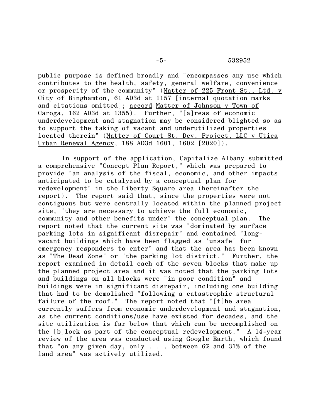public purpose is defined broadly and "encompasses any use which contributes to the health, safety, general welfare, convenience or prosperity of the community" (Matter of 225 Front St., Ltd. v City of Binghamton, 61 AD3d at 1157 [internal quotation marks and citations omitted]; accord Matter of Johnson v Town of Caroga, 162 AD3d at 1355). Further, "[a]reas of economic underdevelopment and stagnation may be considered blighted so as to support the taking of vacant and underutilized properties located therein" (Matter of Court St. Dev. Project, LLC v Utica Urban Renewal Agency, 188 AD3d 1601, 1602 [2020]).

In support of the application, Capitalize Albany submitted a comprehensive "Concept Plan Report," which was prepared to provide "an analysis of the fiscal, economic, and other impacts anticipated to be catalyzed by a conceptual plan for redevelopment" in the Liberty Square area (hereinafter the report). The report said that, since the properties were not contiguous but were centrally located within the planned project site, "they are necessary to achieve the full economic, community and other benefits under" the conceptual plan. The report noted that the current site was "dominated by surface parking lots in significant disrepair" and contained "longvacant buildings which have been flagged as 'unsafe' for emergency responders to enter" and that the area has been known as "The Dead Zone" or "the parking lot district." Further, the report examined in detail each of the seven blocks that make up the planned project area and it was noted that the parking lots and buildings on all blocks were "in poor condition" and buildings were in significant disrepair, including one building that had to be demolished "following a catastrophic structural failure of the roof." The report noted that "[t]he area currently suffers from economic underdevelopment and stagnation, as the current conditions/use have existed for decades, and the site utilization is far below that which can be accomplished on the [b]lock as part of the conceptual redevelopment." A 14-year review of the area was conducted using Google Earth, which found that "on any given day, only . . . between 6% and 31% of the land area" was actively utilized.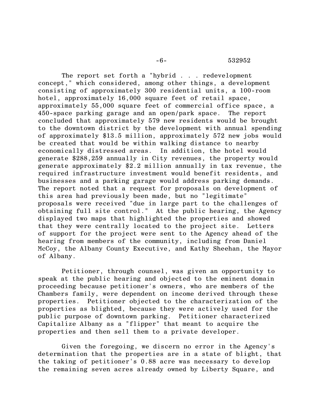The report set forth a "hybrid . . . redevelopment concept," which considered, among other things, a development consisting of approximately 300 residential units, a 100-room hotel, approximately 16,000 square feet of retail space, approximately 55,000 square feet of commercial office space, a 450-space parking garage and an open/park space. The report concluded that approximately 579 new residents would be brought to the downtown district by the development with annual spending of approximately \$13.5 million, approximately 572 new jobs would be created that would be within walking distance to nearby economically distressed areas. In addition, the hotel would generate \$288,259 annually in City revenues, the property would generate approximately \$2.2 million annually in tax revenue, the required infrastructure investment would benefit residents, and businesses and a parking garage would address parking demands. The report noted that a request for proposals on development of this area had previously been made, but no "legitimate" proposals were received "due in large part to the challenges of obtaining full site control." At the public hearing, the Agency displayed two maps that highlighted the properties and showed that they were centrally located to the project site. Letters of support for the project were sent to the Agency ahead of the hearing from members of the community, including from Daniel McCoy, the Albany County Executive, and Kathy Sheehan, the Mayor of Albany.

Petitioner, through counsel, was given an opportunity to speak at the public hearing and objected to the eminent domain proceeding because petitioner's owners, who are members of the Chambers family, were dependent on income derived through these properties. Petitioner objected to the characterization of the properties as blighted, because they were actively used for the public purpose of downtown parking. Petitioner characterized Capitalize Albany as a "flipper" that meant to acquire the properties and then sell them to a private developer.

Given the foregoing, we discern no error in the Agency's determination that the properties are in a state of blight, that the taking of petitioner's 0.88 acre was necessary to develop the remaining seven acres already owned by Liberty Square, and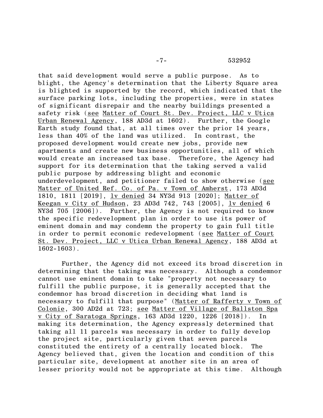## -7- 532952

that said development would serve a public purpose. As to blight, the Agency's determination that the Liberty Square area is blighted is supported by the record, which indicated that the surface parking lots, including the properties, were in states of significant disrepair and the nearby buildings presented a safety risk (see Matter of Court St. Dev. Project, LLC v Utica Urban Renewal Agency, 188 AD3d at 1602). Further, the Google Earth study found that, at all times over the prior 14 years, less than 40% of the land was utilized. In contrast, the proposed development would create new jobs, provide new apartments and create new business opportunities, all of which would create an increased tax base. Therefore, the Agency had support for its determination that the taking served a valid public purpose by addressing blight and economic underdevelopment, and petitioner failed to show otherwise (see Matter of United Ref. Co. of Pa. v Town of Amherst, 173 AD3d 1810, 1811 [2019], lv denied 34 NY3d 913 [2020]; Matter of Keegan v City of Hudson, 23 AD3d 742, 743 [2005], lv denied 6 NY3d 705 [2006]). Further, the Agency is not required to know the specific redevelopment plan in order to use its power of eminent domain and may condemn the property to gain full title in order to permit economic redevelopment (see Matter of Court St. Dev. Project, LLC v Utica Urban Renewal Agency, 188 AD3d at 1602-1603).

Further, the Agency did not exceed its broad discretion in determining that the taking was necessary. Although a condemnor cannot use eminent domain to take "property not necessary to fulfill the public purpose, it is generally accepted that the condemnor has broad discretion in deciding what land is necessary to fulfill that purpose" (Matter of Rafferty v Town of Colonie, 300 AD2d at 723; see Matter of Village of Ballston Spa v City of Saratoga Springs, 163 AD3d 1220, 1226 [2018]). In making its determination, the Agency expressly determined that taking all 11 parcels was necessary in order to fully develop the project site, particularly given that seven parcels constituted the entirety of a centrally located block. The Agency believed that, given the location and condition of this particular site, development at another site in an area of lesser priority would not be appropriate at this time. Although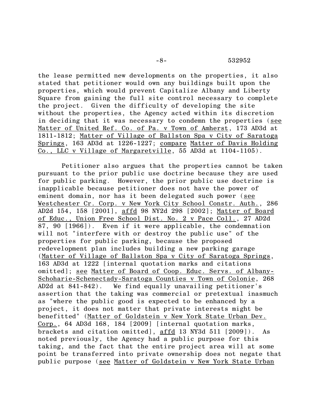the lease permitted new developments on the properties, it also stated that petitioner would own any buildings built upon the properties, which would prevent Capitalize Albany and Liberty Square from gaining the full site control necessary to complete the project. Given the difficulty of developing the site without the properties, the Agency acted within its discretion in deciding that it was necessary to condemn the properties (see Matter of United Ref. Co. of Pa. v Town of Amherst, 173 AD3d at 1811-1812; Matter of Village of Ballston Spa v City of Saratoga Springs, 163 AD3d at 1226-1227; compare Matter of Davis Holding Co., LLC v Village of Margaretville, 55 AD3d at 1104-1105).

Petitioner also argues that the properties cannot be taken pursuant to the prior public use doctrine because they are used for public parking. However, the prior public use doctrine is inapplicable because petitioner does not have the power of eminent domain, nor has it been delegated such power (see Westchester Cr. Corp. v New York City School Constr. Auth., 286 AD2d 154, 158 [2001], affd 98 NY2d 298 [2002]; Matter of Board of Educ., Union Free School Dist. No. 2 v Pace Coll., 27 AD2d 87, 90 [1966]). Even if it were applicable, the condemnation will not "interfere with or destroy the public use" of the properties for public parking, because the proposed redevelopment plan includes building a new parking garage (Matter of Village of Ballston Spa v City of Saratoga Springs, 163 AD3d at 1222 [internal quotation marks and citations omitted]; see Matter of Board of Coop. Educ. Servs. of Albany-Schoharie-Schenectady-Saratoga Counties v Town of Colonie, 268 AD2d at 841-842). We find equally unavailing petitioner's assertion that the taking was commercial or pretextual inasmuch as "where the public good is expected to be enhanced by a project, it does not matter that private interests might be benefitted" (Matter of Goldstein v New York State Urban Dev. Corp., 64 AD3d 168, 184 [2009] [internal quotation marks, brackets and citation omitted], affd 13 NY3d 511 [2009]). As noted previously, the Agency had a public purpose for this taking, and the fact that the entire project area will at some point be transferred into private ownership does not negate that public purpose (see Matter of Goldstein v New York State Urban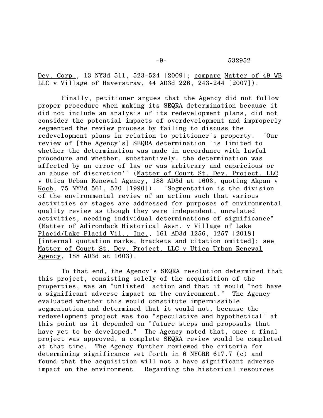Dev. Corp., 13 NY3d 511, 523-524 [2009]; compare Matter of 49 WB LLC v Village of Haverstraw, 44 AD3d 226, 243-244 [2007]).

Finally, petitioner argues that the Agency did not follow proper procedure when making its SEQRA determination because it did not include an analysis of its redevelopment plans, did not consider the potential impacts of overdevelopment and improperly segmented the review process by failing to discuss the redevelopment plans in relation to petitioner's property. "Our review of [the Agency's] SEQRA determination 'is limited to whether the determination was made in accordance with lawful procedure and whether, substantively, the determination was affected by an error of law or was arbitrary and capricious or an abuse of discretion'" (Matter of Court St. Dev. Project, LLC v Utica Urban Renewal Agency, 188 AD3d at 1603, quoting Akpan v Koch, 75 NY2d 561, 570 [1990]). "Segmentation is the division of the environmental review of an action such that various activities or stages are addressed for purposes of environmental quality review as though they were independent, unrelated activities, needing individual determinations of significance" (Matter of Adirondack Historical Assn. v Village of Lake Placid/Lake Placid Vil., Inc., 161 AD3d 1256, 1257 [2018] [internal quotation marks, brackets and citation omitted]; see Matter of Court St. Dev. Project, LLC v Utica Urban Renewal Agency, 188 AD3d at 1603).

To that end, the Agency's SEQRA resolution determined that this project, consisting solely of the acquisition of the properties, was an "unlisted" action and that it would "not have a significant adverse impact on the environment." The Agency evaluated whether this would constitute impermissible segmentation and determined that it would not, because the redevelopment project was too "speculative and hypothetical" at this point as it depended on "future steps and proposals that have yet to be developed." The Agency noted that, once a final project was approved, a complete SEQRA review would be completed at that time. The Agency further reviewed the criteria for determining significance set forth in 6 NYCRR 617.7 (c) and found that the acquisition will not a have significant adverse impact on the environment. Regarding the historical resources